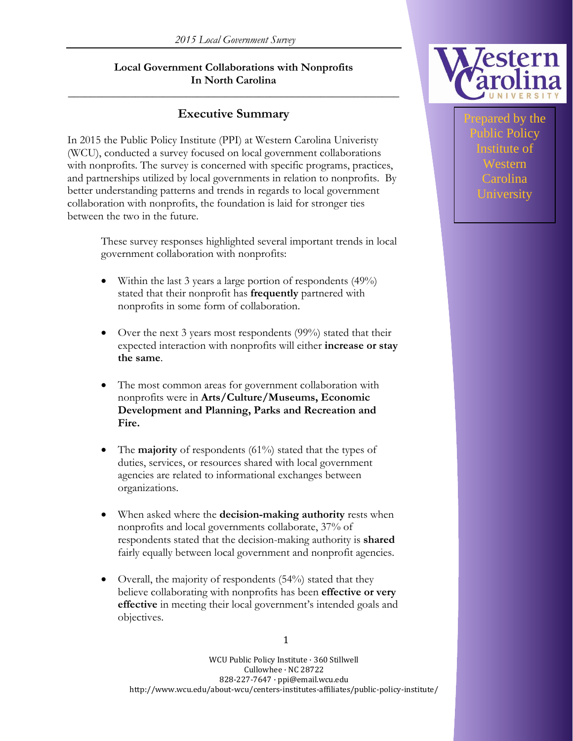#### **Local Government Collaborations with Nonprofits In North Carolina**

**\_\_\_\_\_\_\_\_\_\_\_\_\_\_\_\_\_\_\_\_\_\_\_\_\_\_\_\_\_\_\_\_\_\_\_\_\_\_\_\_\_\_\_\_\_\_\_\_\_\_\_\_\_\_\_\_\_\_\_**

# **Executive Summary**

In 2015 the Public Policy Institute (PPI) at Western Carolina Univeristy (WCU), conducted a survey focused on local government collaborations with nonprofits. The survey is concerned with specific programs, practices, and partnerships utilized by local governments in relation to nonprofits. By better understanding patterns and trends in regards to local government collaboration with nonprofits, the foundation is laid for stronger ties between the two in the future.

> These survey responses highlighted several important trends in local government collaboration with nonprofits:

- Within the last 3 years a large portion of respondents  $(49%)$ stated that their nonprofit has **frequently** partnered with nonprofits in some form of collaboration.
- Over the next 3 years most respondents (99%) stated that their expected interaction with nonprofits will either **increase or stay the same**.
- The most common areas for government collaboration with nonprofits were in **Arts/Culture/Museums, Economic Development and Planning, Parks and Recreation and Fire.**
- The **majority** of respondents (61%) stated that the types of duties, services, or resources shared with local government agencies are related to informational exchanges between organizations.
- When asked where the **decision-making authority** rests when nonprofits and local governments collaborate, 37% of respondents stated that the decision-making authority is **shared** fairly equally between local government and nonprofit agencies.
- Overall, the majority of respondents (54%) stated that they believe collaborating with nonprofits has been **effective or very effective** in meeting their local government's intended goals and objectives.



ared by the Policy Institute of Western Carolina University

WCU Public Policy Institute · 360 Stillwell Cullowhee · NC 28722 828-227-7647 · ppi@email.wcu.edu http://www.wcu.edu/about-wcu/centers-institutes-affiliates/public-policy-institute/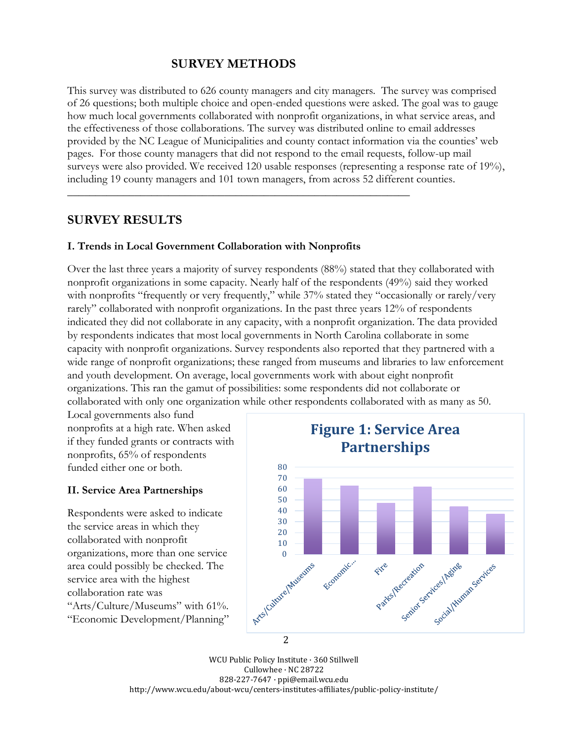# **SURVEY METHODS**

**\_\_\_\_\_\_\_\_\_\_\_\_\_\_\_\_\_\_\_\_\_\_\_\_\_\_\_\_\_\_\_\_\_\_\_\_\_\_\_\_\_\_\_\_\_\_\_\_\_\_\_\_\_\_\_\_\_\_\_\_\_**

This survey was distributed to 626 county managers and city managers. The survey was comprised of 26 questions; both multiple choice and open-ended questions were asked. The goal was to gauge how much local governments collaborated with nonprofit organizations, in what service areas, and the effectiveness of those collaborations. The survey was distributed online to email addresses provided by the NC League of Municipalities and county contact information via the counties' web pages. For those county managers that did not respond to the email requests, follow-up mail surveys were also provided. We received 120 usable responses (representing a response rate of 19%), including 19 county managers and 101 town managers, from across 52 different counties.

## **SURVEY RESULTS**

#### **I. Trends in Local Government Collaboration with Nonprofits**

Over the last three years a majority of survey respondents (88%) stated that they collaborated with nonprofit organizations in some capacity. Nearly half of the respondents (49%) said they worked with nonprofits "frequently or very frequently," while 37% stated they "occasionally or rarely/very rarely" collaborated with nonprofit organizations. In the past three years 12% of respondents indicated they did not collaborate in any capacity, with a nonprofit organization. The data provided by respondents indicates that most local governments in North Carolina collaborate in some capacity with nonprofit organizations. Survey respondents also reported that they partnered with a wide range of nonprofit organizations; these ranged from museums and libraries to law enforcement and youth development. On average, local governments work with about eight nonprofit organizations. This ran the gamut of possibilities: some respondents did not collaborate or collaborated with only one organization while other respondents collaborated with as many as 50.

Local governments also fund nonprofits at a high rate. When asked if they funded grants or contracts with nonprofits, 65% of respondents funded either one or both.

#### **II. Service Area Partnerships**

Respondents were asked to indicate the service areas in which they collaborated with nonprofit organizations, more than one service area could possibly be checked. The service area with the highest collaboration rate was "Arts/Culture/Museums" with 61%. "Economic Development/Planning"



WCU Public Policy Institute · 360 Stillwell Cullowhee · NC 28722 828-227-7647 · ppi@email.wcu.edu http://www.wcu.edu/about-wcu/centers-institutes-affiliates/public-policy-institute/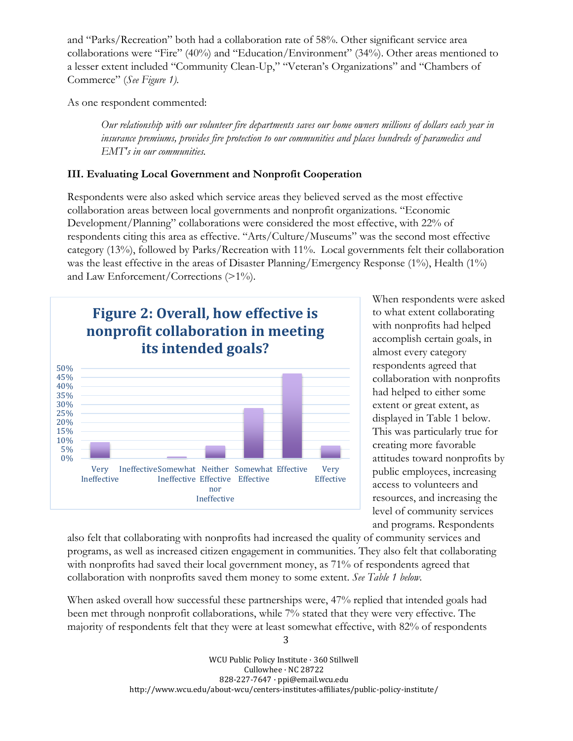and "Parks/Recreation" both had a collaboration rate of 58%. Other significant service area collaborations were "Fire" (40%) and "Education/Environment" (34%). Other areas mentioned to a lesser extent included "Community Clean-Up," "Veteran's Organizations" and "Chambers of Commerce" (*See Figure 1).*

As one respondent commented:

Our relationship with our volunteer fire departments saves our home owners millions of dollars each year in *insurance premiums, provides fire protection to our communities and places hundreds of paramedics and EMT's in our communities.*

## **III. Evaluating Local Government and Nonprofit Cooperation**

Respondents were also asked which service areas they believed served as the most effective collaboration areas between local governments and nonprofit organizations. "Economic Development/Planning" collaborations were considered the most effective, with 22% of respondents citing this area as effective. "Arts/Culture/Museums" was the second most effective category (13%), followed by Parks/Recreation with 11%. Local governments felt their collaboration was the least effective in the areas of Disaster Planning/Emergency Response  $(1\%)$ , Health  $(1\%)$ and Law Enforcement/Corrections (>1%).



When respondents were asked to what extent collaborating with nonprofits had helped accomplish certain goals, in almost every category respondents agreed that collaboration with nonprofits had helped to either some extent or great extent, as displayed in Table 1 below. This was particularly true for creating more favorable attitudes toward nonprofits by public employees, increasing access to volunteers and resources, and increasing the level of community services and programs. Respondents

also felt that collaborating with nonprofits had increased the quality of community services and programs, as well as increased citizen engagement in communities. They also felt that collaborating with nonprofits had saved their local government money, as 71% of respondents agreed that collaboration with nonprofits saved them money to some extent. *See Table 1 below.*

When asked overall how successful these partnerships were, 47% replied that intended goals had been met through nonprofit collaborations, while 7% stated that they were very effective. The majority of respondents felt that they were at least somewhat effective, with 82% of respondents

> WCU Public Policy Institute · 360 Stillwell Cullowhee · NC 28722 828-227-7647 · ppi@email.wcu.edu http://www.wcu.edu/about-wcu/centers-institutes-affiliates/public-policy-institute/

3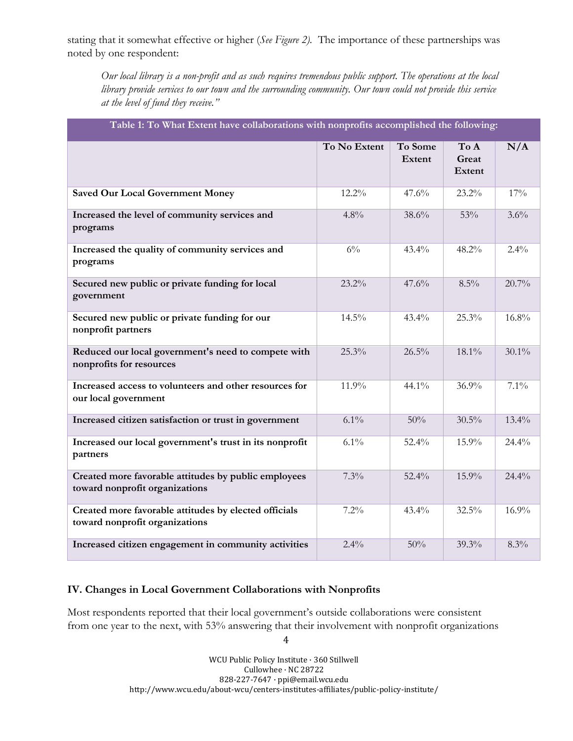stating that it somewhat effective or higher (*See Figure 2).* The importance of these partnerships was noted by one respondent:

Our local library is a non-profit and as such requires tremendous public support. The operations at the local library provide services to our town and the surrounding community. Our town could not provide this service *at the level of fund they receive."*

| Table 1: To what extent have conaborations with nonprofits accomplished the following:  |              |                   |                         |          |  |  |  |  |
|-----------------------------------------------------------------------------------------|--------------|-------------------|-------------------------|----------|--|--|--|--|
|                                                                                         | To No Extent | To Some<br>Extent | To A<br>Great<br>Extent | N/A      |  |  |  |  |
| <b>Saved Our Local Government Money</b>                                                 | 12.2%        | 47.6%             | 23.2%                   | 17%      |  |  |  |  |
| Increased the level of community services and<br>programs                               | 4.8%         | 38.6%             | 53%                     | 3.6%     |  |  |  |  |
| Increased the quality of community services and<br>programs                             | $6\%$        | 43.4%             | 48.2%                   | $2.4\%$  |  |  |  |  |
| Secured new public or private funding for local<br>government                           | 23.2%        | 47.6%             | 8.5%                    | 20.7%    |  |  |  |  |
| Secured new public or private funding for our<br>nonprofit partners                     | 14.5%        | 43.4%             | 25.3%                   | 16.8%    |  |  |  |  |
| Reduced our local government's need to compete with<br>nonprofits for resources         | 25.3%        | 26.5%             | 18.1%                   | $30.1\%$ |  |  |  |  |
| Increased access to volunteers and other resources for<br>our local government          | 11.9%        | 44.1%             | 36.9%                   | $7.1\%$  |  |  |  |  |
| Increased citizen satisfaction or trust in government                                   | 6.1%         | 50%               | $30.5\%$                | 13.4%    |  |  |  |  |
| Increased our local government's trust in its nonprofit<br>partners                     | 6.1%         | 52.4%             | 15.9%                   | 24.4%    |  |  |  |  |
| Created more favorable attitudes by public employees<br>toward nonprofit organizations  | 7.3%         | 52.4%             | 15.9%                   | 24.4%    |  |  |  |  |
| Created more favorable attitudes by elected officials<br>toward nonprofit organizations | 7.2%         | 43.4%             | 32.5%                   | 16.9%    |  |  |  |  |
| Increased citizen engagement in community activities                                    | 2.4%         | 50%               | 39.3%                   | 8.3%     |  |  |  |  |

# **Table 1: To What Extent have collaborations with nonprofits accomplished the following:**

#### **IV. Changes in Local Government Collaborations with Nonprofits**

Most respondents reported that their local government's outside collaborations were consistent from one year to the next, with 53% answering that their involvement with nonprofit organizations

4

WCU Public Policy Institute · 360 Stillwell Cullowhee · NC 28722 828-227-7647 · ppi@email.wcu.edu http://www.wcu.edu/about-wcu/centers-institutes-affiliates/public-policy-institute/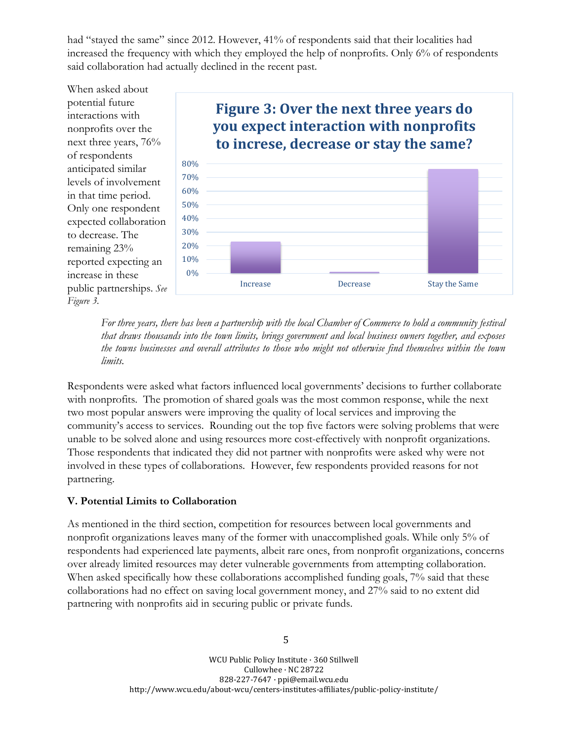had "stayed the same" since 2012. However, 41% of respondents said that their localities had increased the frequency with which they employed the help of nonprofits. Only 6% of respondents said collaboration had actually declined in the recent past.



*For three years, there has been a partnership with the local Chamber of Commerce to hold a community festival that draws thousands into the town limits, brings government and local business owners together, and exposes the towns businesses and overall attributes to those who might not otherwise find themselves within the town limits.*

Respondents were asked what factors influenced local governments' decisions to further collaborate with nonprofits. The promotion of shared goals was the most common response, while the next two most popular answers were improving the quality of local services and improving the community's access to services. Rounding out the top five factors were solving problems that were unable to be solved alone and using resources more cost-effectively with nonprofit organizations. Those respondents that indicated they did not partner with nonprofits were asked why were not involved in these types of collaborations. However, few respondents provided reasons for not partnering.

## **V. Potential Limits to Collaboration**

As mentioned in the third section, competition for resources between local governments and nonprofit organizations leaves many of the former with unaccomplished goals. While only 5% of respondents had experienced late payments, albeit rare ones, from nonprofit organizations, concerns over already limited resources may deter vulnerable governments from attempting collaboration. When asked specifically how these collaborations accomplished funding goals, 7% said that these collaborations had no effect on saving local government money, and 27% said to no extent did partnering with nonprofits aid in securing public or private funds.

5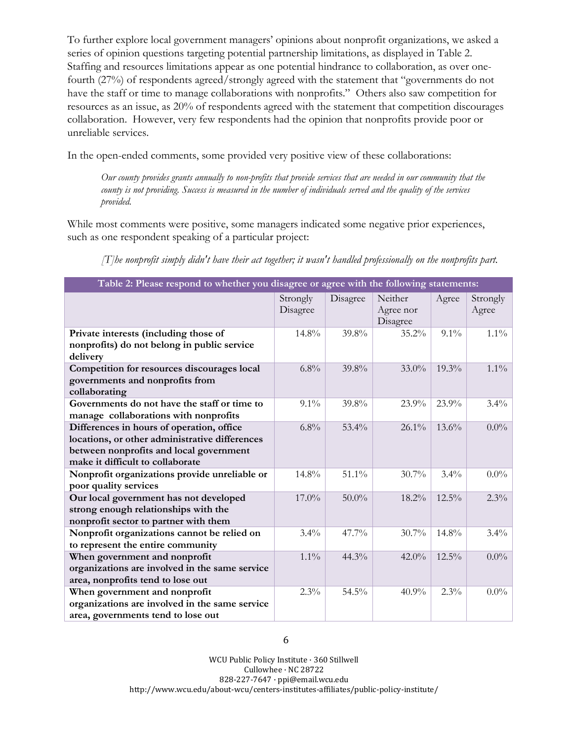To further explore local government managers' opinions about nonprofit organizations, we asked a series of opinion questions targeting potential partnership limitations, as displayed in Table 2. Staffing and resources limitations appear as one potential hindrance to collaboration, as over onefourth (27%) of respondents agreed/strongly agreed with the statement that "governments do not have the staff or time to manage collaborations with nonprofits." Others also saw competition for resources as an issue, as 20% of respondents agreed with the statement that competition discourages collaboration. However, very few respondents had the opinion that nonprofits provide poor or unreliable services.

In the open-ended comments, some provided very positive view of these collaborations:

Our county provides grants annually to non-profits that provide services that are needed in our community that the county is not providing. Success is measured in the number of individuals served and the quality of the services *provided.*

While most comments were positive, some managers indicated some negative prior experiences, such as one respondent speaking of a particular project:

*[T]he nonprofit simply didn't have their act together; it wasn't handled professionally on the nonprofits part.*

| Table 2: Please respond to whether you disagree or agree with the following statements: |                      |          |                                  |          |                   |  |  |  |
|-----------------------------------------------------------------------------------------|----------------------|----------|----------------------------------|----------|-------------------|--|--|--|
|                                                                                         | Strongly<br>Disagree | Disagree | Neither<br>Agree nor<br>Disagree | Agree    | Strongly<br>Agree |  |  |  |
| Private interests (including those of                                                   | 14.8%                | 39.8%    | 35.2%                            | $9.1\%$  | $1.1\%$           |  |  |  |
| nonprofits) do not belong in public service<br>delivery                                 |                      |          |                                  |          |                   |  |  |  |
| Competition for resources discourages local                                             | 6.8%                 | 39.8%    | $33.0\%$                         | 19.3%    | $1.1\%$           |  |  |  |
| governments and nonprofits from                                                         |                      |          |                                  |          |                   |  |  |  |
| collaborating                                                                           |                      |          |                                  |          |                   |  |  |  |
| Governments do not have the staff or time to                                            | $9.1\%$              | 39.8%    | $23.9\%$                         | 23.9%    | $3.4\%$           |  |  |  |
| manage collaborations with nonprofits                                                   |                      |          |                                  |          |                   |  |  |  |
| Differences in hours of operation, office                                               | $6.8\%$              | 53.4%    | $26.1\%$                         | 13.6%    | $0.0\%$           |  |  |  |
| locations, or other administrative differences                                          |                      |          |                                  |          |                   |  |  |  |
| between nonprofits and local government                                                 |                      |          |                                  |          |                   |  |  |  |
| make it difficult to collaborate                                                        |                      |          |                                  |          |                   |  |  |  |
| Nonprofit organizations provide unreliable or                                           | 14.8%                | 51.1%    | 30.7%                            | 3.4%     | $0.0\%$           |  |  |  |
| poor quality services                                                                   |                      |          |                                  |          |                   |  |  |  |
| Our local government has not developed                                                  | 17.0%                | $50.0\%$ | 18.2%                            | $12.5\%$ | 2.3%              |  |  |  |
| strong enough relationships with the                                                    |                      |          |                                  |          |                   |  |  |  |
| nonprofit sector to partner with them                                                   |                      |          |                                  |          |                   |  |  |  |
| Nonprofit organizations cannot be relied on                                             | $3.4\%$              | 47.7%    | 30.7%                            | 14.8%    | $3.4\%$           |  |  |  |
| to represent the entire community                                                       |                      |          |                                  |          |                   |  |  |  |
| When government and nonprofit                                                           | $1.1\%$              | 44.3%    | $42.0\%$                         | 12.5%    | $0.0\%$           |  |  |  |
| organizations are involved in the same service                                          |                      |          |                                  |          |                   |  |  |  |
| area, nonprofits tend to lose out                                                       |                      |          |                                  |          |                   |  |  |  |
| When government and nonprofit                                                           | $2.3\%$              | 54.5%    | $40.9\%$                         | $2.3\%$  | $0.0\%$           |  |  |  |
| organizations are involved in the same service                                          |                      |          |                                  |          |                   |  |  |  |
| area, governments tend to lose out                                                      |                      |          |                                  |          |                   |  |  |  |

WCU Public Policy Institute · 360 Stillwell Cullowhee · NC 28722 828-227-7647 · ppi@email.wcu.edu http://www.wcu.edu/about-wcu/centers-institutes-affiliates/public-policy-institute/

6